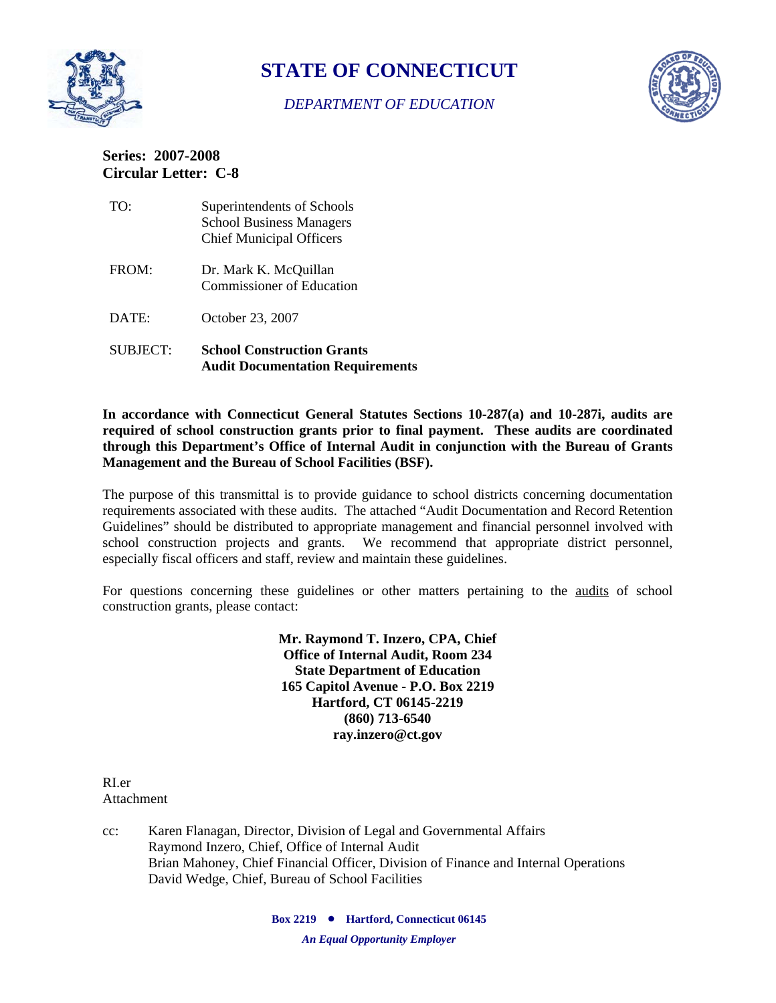

# **STATE OF CONNECTICUT**

## *DEPARTMENT OF EDUCATION*



## **Series: 2007-2008 Circular Letter: C-8**

| TO:      | Superintendents of Schools<br><b>School Business Managers</b><br><b>Chief Municipal Officers</b> |
|----------|--------------------------------------------------------------------------------------------------|
| FROM:    | Dr. Mark K. McQuillan<br><b>Commissioner of Education</b>                                        |
| DATE:    | October 23, 2007                                                                                 |
| SUBJECT: | <b>School Construction Grants</b><br><b>Audit Documentation Requirements</b>                     |

**In accordance with Connecticut General Statutes Sections 10-287(a) and 10-287i, audits are required of school construction grants prior to final payment. These audits are coordinated through this Department's Office of Internal Audit in conjunction with the Bureau of Grants Management and the Bureau of School Facilities (BSF).** 

The purpose of this transmittal is to provide guidance to school districts concerning documentation requirements associated with these audits. The attached "Audit Documentation and Record Retention Guidelines" should be distributed to appropriate management and financial personnel involved with school construction projects and grants. We recommend that appropriate district personnel, especially fiscal officers and staff, review and maintain these guidelines.

For questions concerning these guidelines or other matters pertaining to the audits of school construction grants, please contact:

> **Mr. Raymond T. Inzero, CPA, Chief Office of Internal Audit, Room 234 State Department of Education 165 Capitol Avenue - P.O. Box 2219 Hartford, CT 06145-2219 (860) 713-6540 ray.inzero@ct.gov**

RI.er Attachment

cc: Karen Flanagan, Director, Division of Legal and Governmental Affairs Raymond Inzero, Chief, Office of Internal Audit Brian Mahoney, Chief Financial Officer, Division of Finance and Internal Operations David Wedge, Chief, Bureau of School Facilities